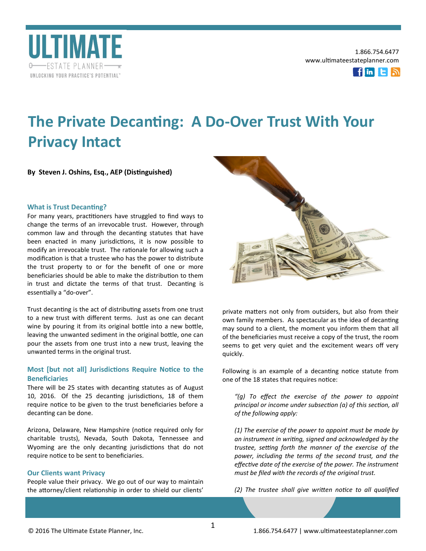



# **The Private Decanting: A Do-Over Trust With Your Privacy Intact**

**By Steven J. Oshins, Esq., AEP (Distinguished)**

### **What is Trust Decanting?**

For many years, practitioners have struggled to find ways to change the terms of an irrevocable trust. However, through common law and through the decanting statutes that have been enacted in many jurisdictions, it is now possible to modify an irrevocable trust. The rationale for allowing such a modification is that a trustee who has the power to distribute the trust property to or for the benefit of one or more beneficiaries should be able to make the distribution to them in trust and dictate the terms of that trust. Decanting is essentially a "do-over".

Trust decanting is the act of distributing assets from one trust to a new trust with different terms. Just as one can decant wine by pouring it from its original bottle into a new bottle, leaving the unwanted sediment in the original bottle, one can pour the assets from one trust into a new trust, leaving the unwanted terms in the original trust.

# **Most [but not all] Jurisdictions Require Notice to the Beneficiaries**

There will be 25 states with decanting statutes as of August 10, 2016. Of the 25 decanting jurisdictions, 18 of them require notice to be given to the trust beneficiaries before a decanting can be done.

Arizona, Delaware, New Hampshire (notice required only for charitable trusts), Nevada, South Dakota, Tennessee and Wyoming are the only decanting jurisdictions that do not require notice to be sent to beneficiaries.

## **Our Clients want Privacy**

People value their privacy. We go out of our way to maintain the attorney/client relationship in order to shield our clients'



private matters not only from outsiders, but also from their own family members. As spectacular as the idea of decanting may sound to a client, the moment you inform them that all of the beneficiaries must receive a copy of the trust, the room seems to get very quiet and the excitement wears off very quickly.

Following is an example of a decanting notice statute from one of the 18 states that requires notice:

*"(g) To effect the exercise of the power to appoint principal or income under subsection (a) of this section, all of the following apply:*

*(1) The exercise of the power to appoint must be made by an instrument in writing, signed and acknowledged by the trustee, setting forth the manner of the exercise of the power, including the terms of the second trust, and the effective date of the exercise of the power. The instrument must be filed with the records of the original trust.*

*(2) The trustee shall give written notice to all qualified*